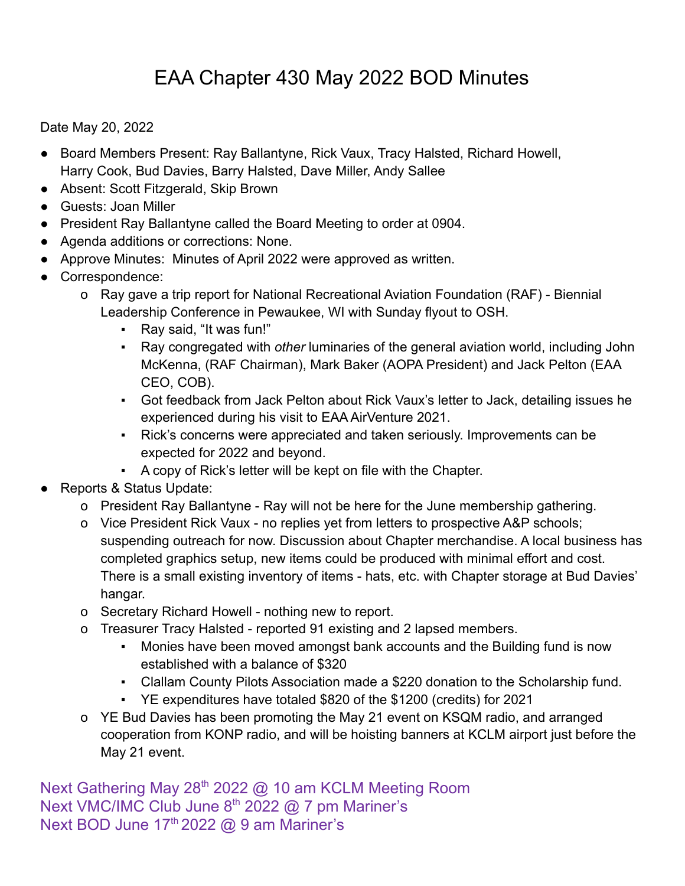## EAA Chapter 430 May 2022 BOD Minutes

Date May 20, 2022

- Board Members Present: Ray Ballantyne, Rick Vaux, Tracy Halsted, Richard Howell, Harry Cook, Bud Davies, Barry Halsted, Dave Miller, Andy Sallee
- Absent: Scott Fitzgerald, Skip Brown
- Guests: Joan Miller
- President Ray Ballantyne called the Board Meeting to order at 0904.
- Agenda additions or corrections: None.
- Approve Minutes: Minutes of April 2022 were approved as written.
- Correspondence:
	- o Ray gave a trip report for National Recreational Aviation Foundation (RAF) Biennial Leadership Conference in Pewaukee, WI with Sunday flyout to OSH.
		- Ray said, "It was fun!"
		- Ray congregated with *other* luminaries of the general aviation world, including John McKenna, (RAF Chairman), Mark Baker (AOPA President) and Jack Pelton (EAA CEO, COB).
		- Got feedback from Jack Pelton about Rick Vaux's letter to Jack, detailing issues he experienced during his visit to EAA AirVenture 2021.
		- Rick's concerns were appreciated and taken seriously. Improvements can be expected for 2022 and beyond.
		- A copy of Rick's letter will be kept on file with the Chapter.
- Reports & Status Update:
	- o President Ray Ballantyne Ray will not be here for the June membership gathering.
	- o Vice President Rick Vaux no replies yet from letters to prospective A&P schools; suspending outreach for now. Discussion about Chapter merchandise. A local business has completed graphics setup, new items could be produced with minimal effort and cost. There is a small existing inventory of items - hats, etc. with Chapter storage at Bud Davies' hangar.
	- o Secretary Richard Howell nothing new to report.
	- o Treasurer Tracy Halsted reported 91 existing and 2 lapsed members.
		- Monies have been moved amongst bank accounts and the Building fund is now established with a balance of \$320
		- Clallam County Pilots Association made a \$220 donation to the Scholarship fund.
		- YE expenditures have totaled \$820 of the \$1200 (credits) for 2021
	- o YE Bud Davies has been promoting the May 21 event on KSQM radio, and arranged cooperation from KONP radio, and will be hoisting banners at KCLM airport just before the May 21 event.

Next Gathering May 28<sup>th</sup> 2022 @ 10 am KCLM Meeting Room Next VMC/IMC Club June  $8<sup>th</sup>$  2022 @ 7 pm Mariner's Next BOD June 17<sup>th</sup> 2022 @ 9 am Mariner's